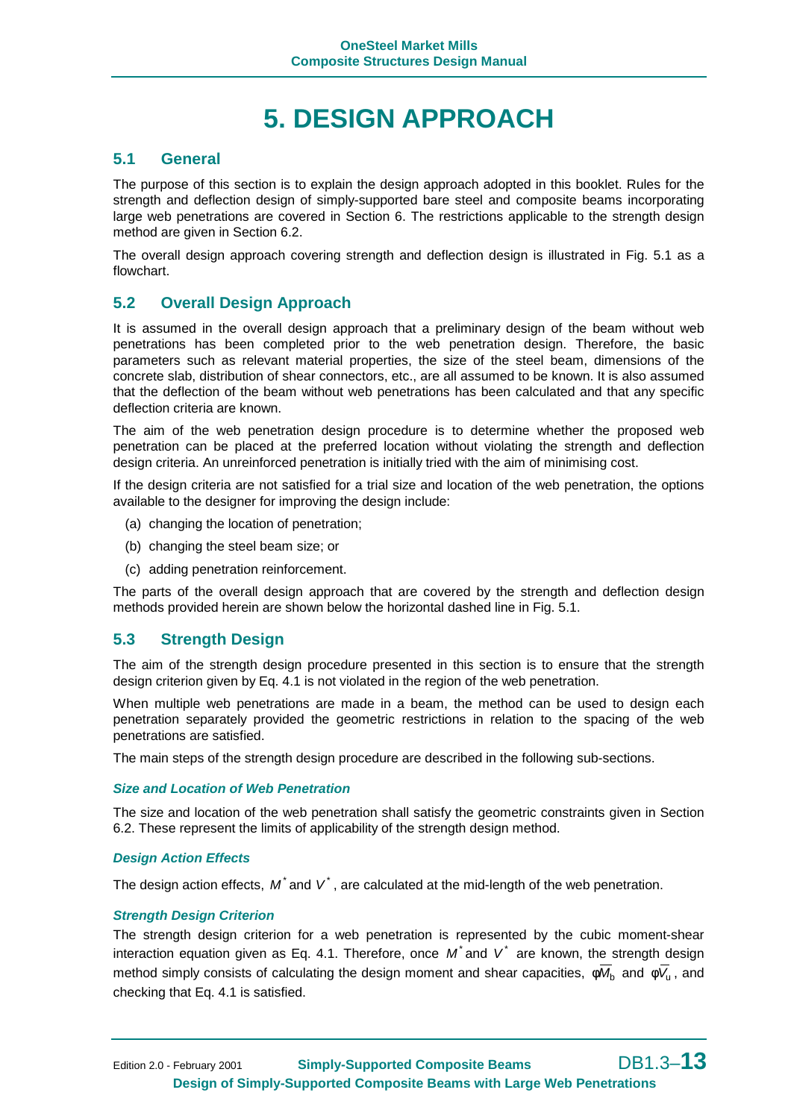# **5. DESIGN APPROACH**

### **5.1 General**

The purpose of this section is to explain the design approach adopted in this booklet. Rules for the strength and deflection design of simply-supported bare steel and composite beams incorporating large web penetrations are covered in Section 6. The restrictions applicable to the strength design method are given in Section 6.2.

The overall design approach covering strength and deflection design is illustrated in Fig. 5.1 as a flowchart.

### **5.2 Overall Design Approach**

It is assumed in the overall design approach that a preliminary design of the beam without web penetrations has been completed prior to the web penetration design. Therefore, the basic parameters such as relevant material properties, the size of the steel beam, dimensions of the concrete slab, distribution of shear connectors, etc., are all assumed to be known. It is also assumed that the deflection of the beam without web penetrations has been calculated and that any specific deflection criteria are known.

The aim of the web penetration design procedure is to determine whether the proposed web penetration can be placed at the preferred location without violating the strength and deflection design criteria. An unreinforced penetration is initially tried with the aim of minimising cost.

If the design criteria are not satisfied for a trial size and location of the web penetration, the options available to the designer for improving the design include:

- (a) changing the location of penetration;
- (b) changing the steel beam size; or
- (c) adding penetration reinforcement.

The parts of the overall design approach that are covered by the strength and deflection design methods provided herein are shown below the horizontal dashed line in Fig. 5.1.

#### **5.3 Strength Design**

The aim of the strength design procedure presented in this section is to ensure that the strength design criterion given by Eq. 4.1 is not violated in the region of the web penetration.

When multiple web penetrations are made in a beam, the method can be used to design each penetration separately provided the geometric restrictions in relation to the spacing of the web penetrations are satisfied.

The main steps of the strength design procedure are described in the following sub-sections.

#### *Size and Location of Web Penetration*

The size and location of the web penetration shall satisfy the geometric constraints given in Section 6.2. These represent the limits of applicability of the strength design method.

#### *Design Action Effects*

The design action effects,  $M^*$  and  $V^*$ , are calculated at the mid-length of the web penetration.

#### *Strength Design Criterion*

The strength design criterion for a web penetration is represented by the cubic moment-shear interaction equation given as Eq. 4.1. Therefore, once  $M^*$  and  $V^*$  are known, the strength design method simply consists of calculating the design moment and shear capacities,  $\phi \overline{M}_b$  and  $\phi \overline{V}_u$ , and checking that Eq. 4.1 is satisfied.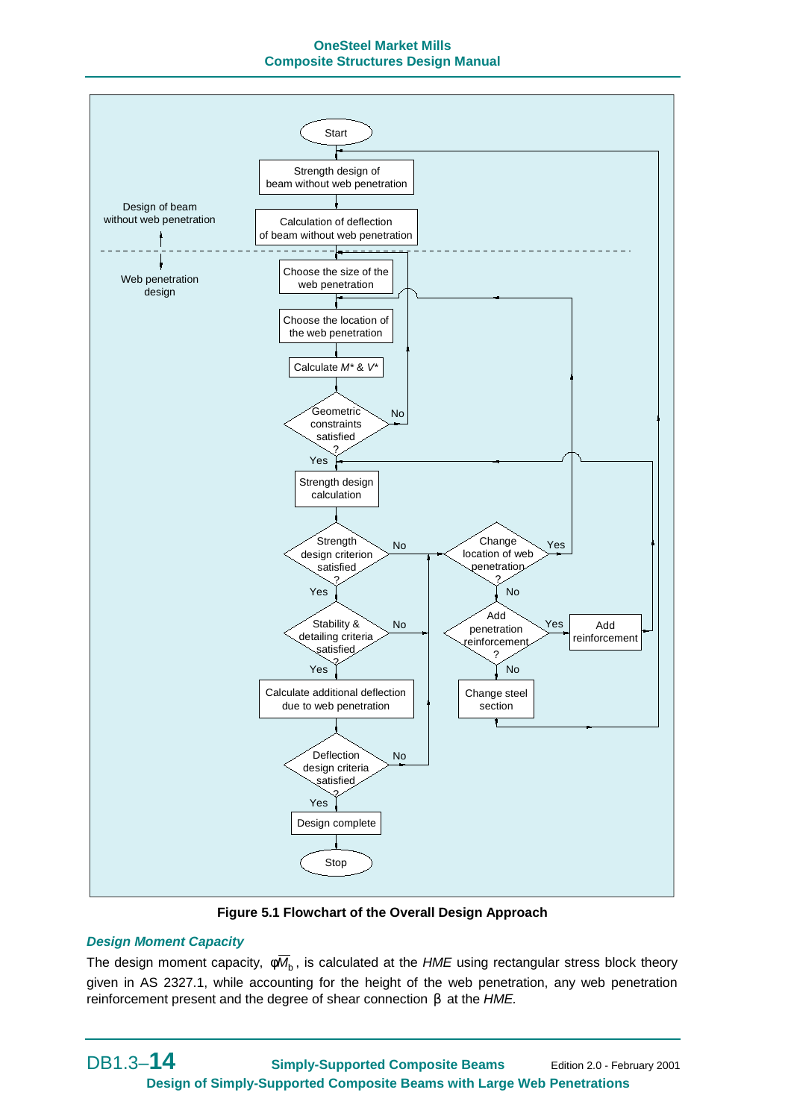#### **OneSteel Market Mills Composite Structures Design Manual**



**Figure 5.1 Flowchart of the Overall Design Approach**

#### *Design Moment Capacity*

The design moment capacity,  $\phi \overline{M}_b$ , is calculated at the *HME* using rectangular stress block theory given in AS 2327.1, while accounting for the height of the web penetration, any web penetration reinforcement present and the degree of shear connection β at the *HME.*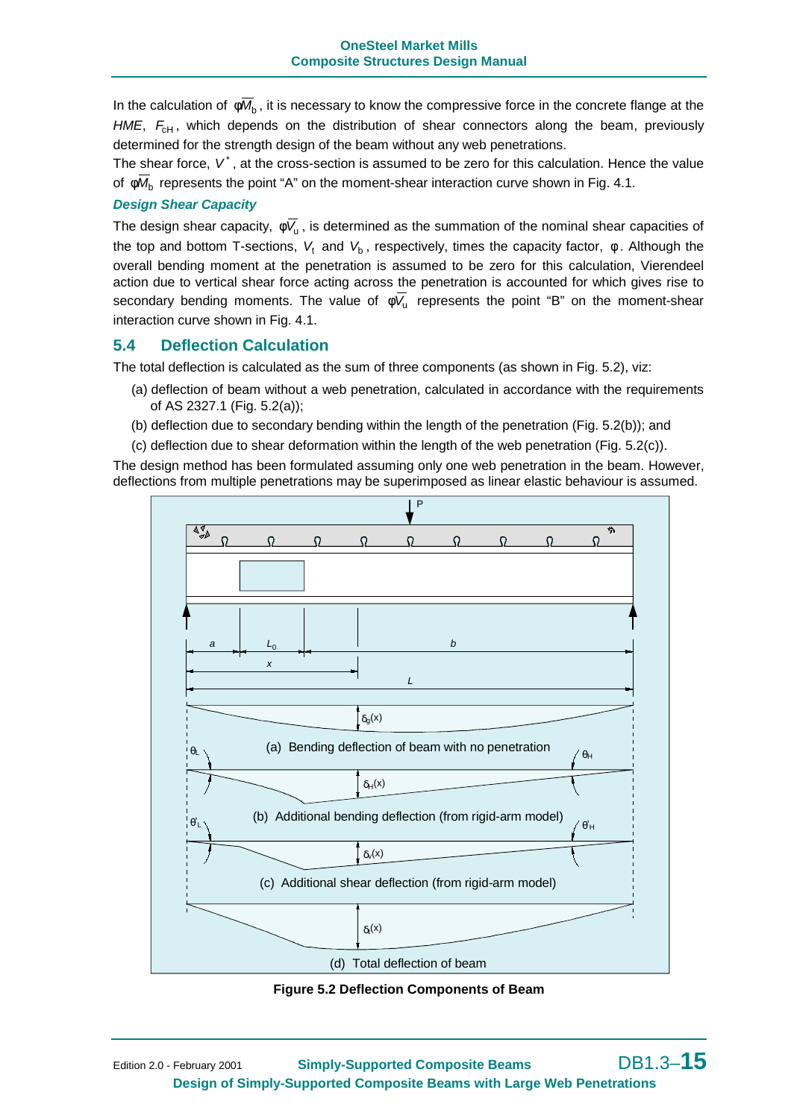In the calculation of  $\phi \overline{M}_b$ , it is necessary to know the compressive force in the concrete flange at the *HME*,  $F_{\text{cH}}$ , which depends on the distribution of shear connectors along the beam, previously determined for the strength design of the beam without any web penetrations.

The shear force,  $V^*$ , at the cross-section is assumed to be zero for this calculation. Hence the value of  $\phi \overline{M}_b$  represents the point "A" on the moment-shear interaction curve shown in Fig. 4.1.

#### *Design Shear Capacity*

The design shear capacity,  $\phi \overline{V}_u$ , is determined as the summation of the nominal shear capacities of the top and bottom T-sections,  $V_t$  and  $V_b$ , respectively, times the capacity factor,  $\phi$ . Although the overall bending moment at the penetration is assumed to be zero for this calculation, Vierendeel action due to vertical shear force acting across the penetration is accounted for which gives rise to secondary bending moments. The value of  $\phi \overline{V}_u$  represents the point "B" on the moment-shear interaction curve shown in Fig. 4.1.

#### **5.4 Deflection Calculation**

The total deflection is calculated as the sum of three components (as shown in Fig. 5.2), viz:

- (a) deflection of beam without a web penetration, calculated in accordance with the requirements of AS 2327.1 (Fig. 5.2(a));
- (b) deflection due to secondary bending within the length of the penetration (Fig. 5.2(b)); and
- (c) deflection due to shear deformation within the length of the web penetration (Fig. 5.2(c)).

The design method has been formulated assuming only one web penetration in the beam. However, deflections from multiple penetrations may be superimposed as linear elastic behaviour is assumed.



**Figure 5.2 Deflection Components of Beam**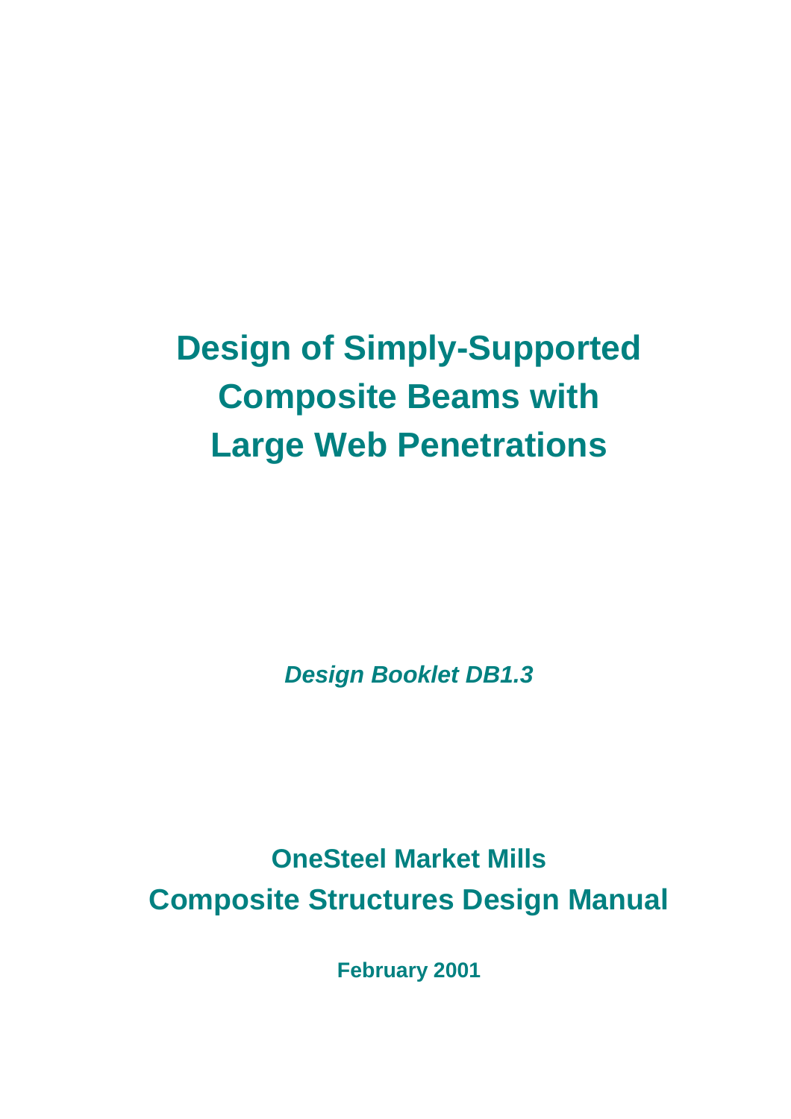# **Design of Simply-Supported Composite Beams with Large Web Penetrations**

*Design Booklet DB1.3*

**OneSteel Market Mills Composite Structures Design Manual**

**February 2001**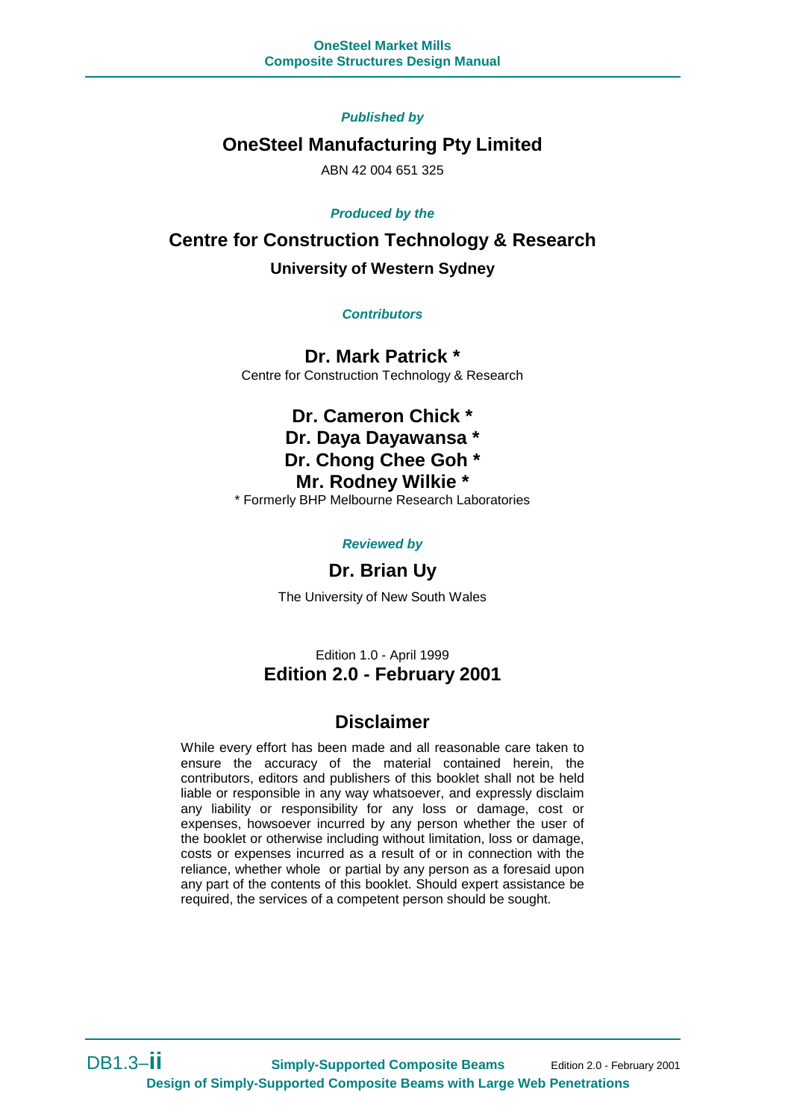#### *Published by*

### **OneSteel Manufacturing Pty Limited**

ABN 42 004 651 325

#### *Produced by the*

**Centre for Construction Technology & Research University of Western Sydney**

*Contributors*

**Dr. Mark Patrick \*** Centre for Construction Technology & Research

# **Dr. Cameron Chick \* Dr. Daya Dayawansa \***

**Dr. Chong Chee Goh \***

## **Mr. Rodney Wilkie \***

\* Formerly BHP Melbourne Research Laboratories

*Reviewed by*

### **Dr. Brian Uy**

The University of New South Wales

Edition 1.0 - April 1999 **Edition 2.0 - February 2001**

### **Disclaimer**

While every effort has been made and all reasonable care taken to ensure the accuracy of the material contained herein, the contributors, editors and publishers of this booklet shall not be held liable or responsible in any way whatsoever, and expressly disclaim any liability or responsibility for any loss or damage, cost or expenses, howsoever incurred by any person whether the user of the booklet or otherwise including without limitation, loss or damage, costs or expenses incurred as a result of or in connection with the reliance, whether whole or partial by any person as a foresaid upon any part of the contents of this booklet. Should expert assistance be required, the services of a competent person should be sought.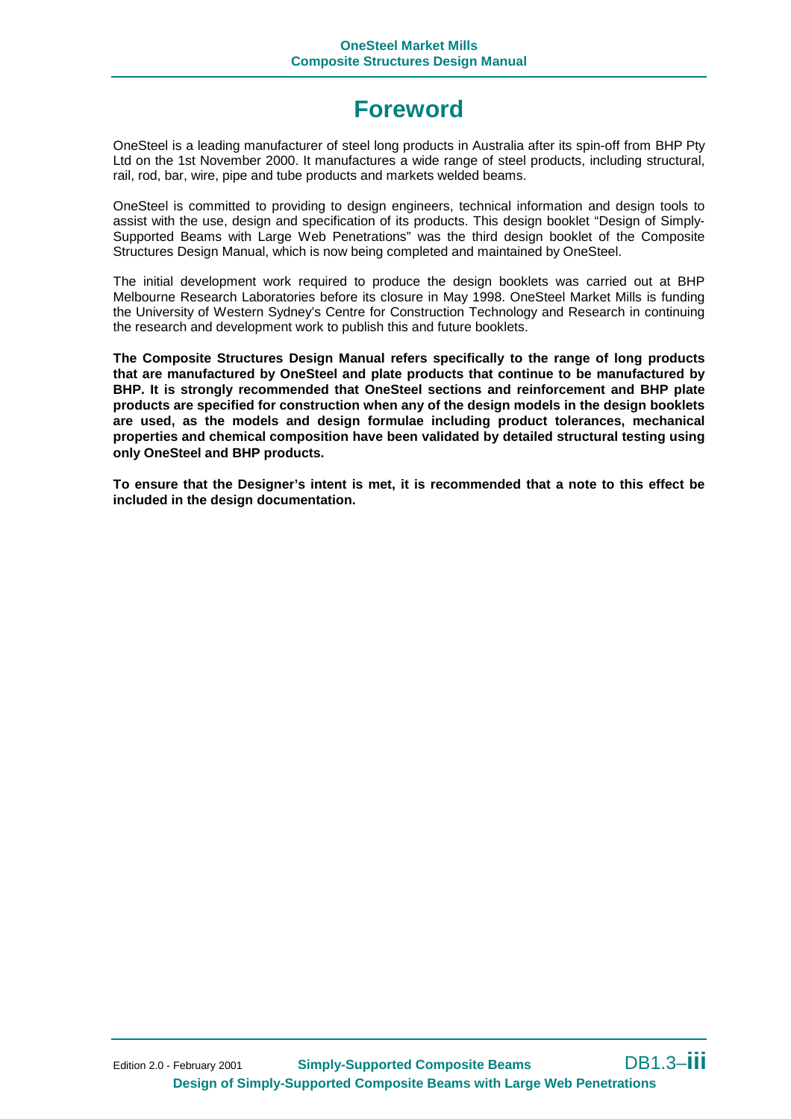# **Foreword**

OneSteel is a leading manufacturer of steel long products in Australia after its spin-off from BHP Pty Ltd on the 1st November 2000. It manufactures a wide range of steel products, including structural, rail, rod, bar, wire, pipe and tube products and markets welded beams.

OneSteel is committed to providing to design engineers, technical information and design tools to assist with the use, design and specification of its products. This design booklet "Design of Simply-Supported Beams with Large Web Penetrations" was the third design booklet of the Composite Structures Design Manual, which is now being completed and maintained by OneSteel.

The initial development work required to produce the design booklets was carried out at BHP Melbourne Research Laboratories before its closure in May 1998. OneSteel Market Mills is funding the University of Western Sydney's Centre for Construction Technology and Research in continuing the research and development work to publish this and future booklets.

**The Composite Structures Design Manual refers specifically to the range of long products that are manufactured by OneSteel and plate products that continue to be manufactured by BHP. It is strongly recommended that OneSteel sections and reinforcement and BHP plate products are specified for construction when any of the design models in the design booklets are used, as the models and design formulae including product tolerances, mechanical properties and chemical composition have been validated by detailed structural testing using only OneSteel and BHP products.**

**To ensure that the Designer's intent is met, it is recommended that a note to this effect be included in the design documentation.**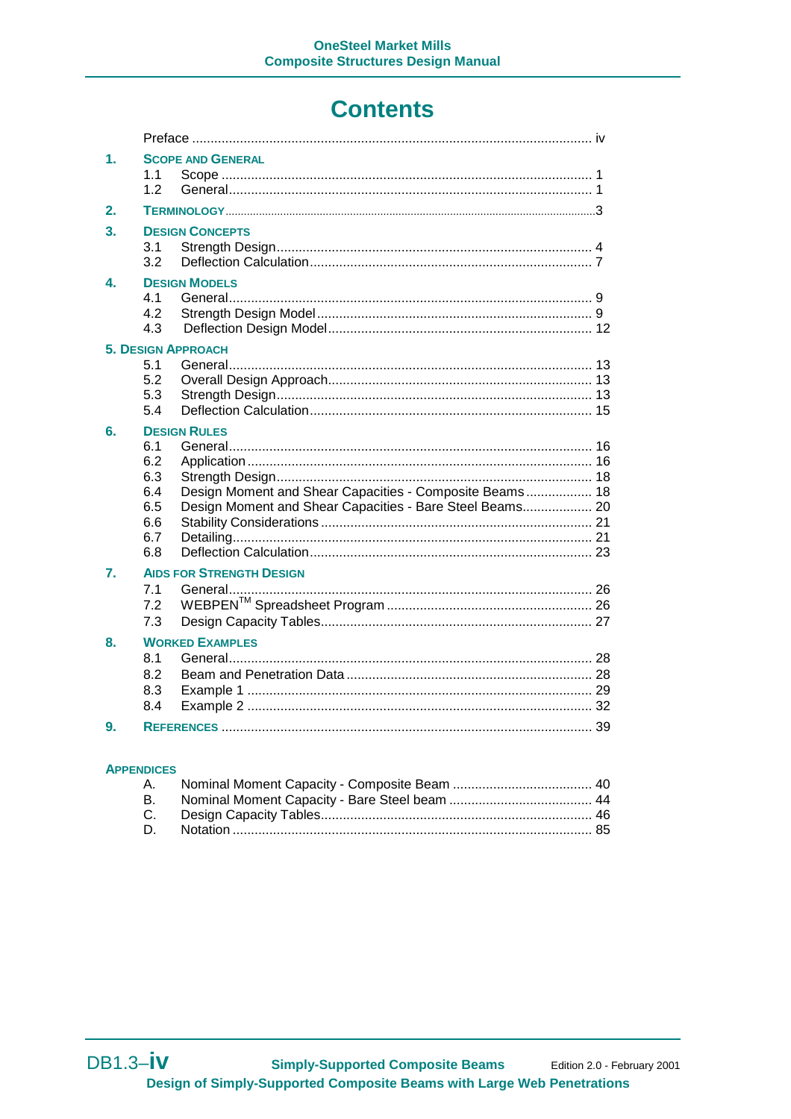# **Contents**

| 1. | <b>SCOPE AND GENERAL</b><br>1.1<br>1.2                                                                                                                                               |  |
|----|--------------------------------------------------------------------------------------------------------------------------------------------------------------------------------------|--|
| 2. |                                                                                                                                                                                      |  |
| 3. | <b>DESIGN CONCEPTS</b><br>3.1<br>3.2                                                                                                                                                 |  |
| 4. | <b>DESIGN MODELS</b><br>41<br>4.2<br>4.3                                                                                                                                             |  |
|    | <b>5. DESIGN APPROACH</b><br>5.1                                                                                                                                                     |  |
|    | 5.2                                                                                                                                                                                  |  |
|    | 5.3                                                                                                                                                                                  |  |
|    | 5.4                                                                                                                                                                                  |  |
| 6. | <b>DESIGN RULES</b><br>6.1<br>6.2<br>6.3<br>Design Moment and Shear Capacities - Composite Beams 18<br>6.4<br>6.5<br>Design Moment and Shear Capacities - Bare Steel Beams 20<br>6.6 |  |
|    | 6.7                                                                                                                                                                                  |  |
|    | 6.8                                                                                                                                                                                  |  |
| 7. | <b>AIDS FOR STRENGTH DESIGN</b><br>7.1<br>7.2<br>7.3                                                                                                                                 |  |
| 8. | <b>WORKED EXAMPLES</b>                                                                                                                                                               |  |
|    | 8.1<br>8.2<br>8.3<br>8.4                                                                                                                                                             |  |
| 9. |                                                                                                                                                                                      |  |

#### **APPENDICES**

| <b>B.</b> |  |
|-----------|--|
|           |  |
|           |  |